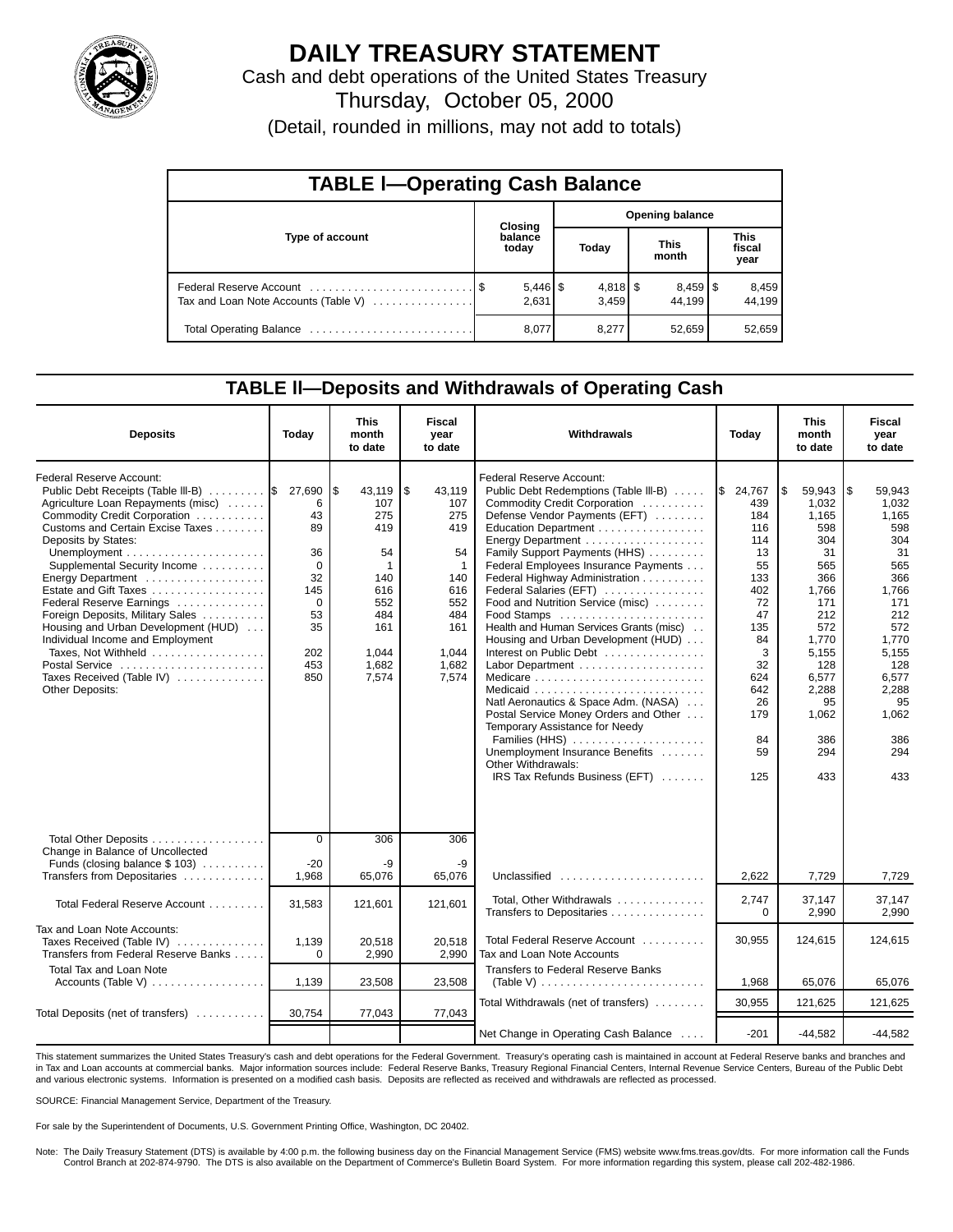

# **DAILY TREASURY STATEMENT**

Cash and debt operations of the United States Treasury Thursday, October 05, 2000

(Detail, rounded in millions, may not add to totals)

| <b>TABLE I-Operating Cash Balance</b> |  |                                |                        |                     |                      |                                 |                               |                 |  |  |
|---------------------------------------|--|--------------------------------|------------------------|---------------------|----------------------|---------------------------------|-------------------------------|-----------------|--|--|
|                                       |  | <b>Closing</b>                 | <b>Opening balance</b> |                     |                      |                                 |                               |                 |  |  |
| Type of account                       |  | balance<br>today               |                        | Today               | <b>This</b><br>month |                                 | <b>This</b><br>fiscal<br>year |                 |  |  |
| Tax and Loan Note Accounts (Table V)  |  | $5,446$ $\frac{1}{3}$<br>2,631 |                        | $4,818$ \$<br>3,459 |                      | $8,459$ $\frac{8}{3}$<br>44.199 |                               | 8,459<br>44,199 |  |  |
|                                       |  | 8,077                          |                        | 8.277               |                      | 52,659                          |                               | 52,659          |  |  |

## **TABLE ll—Deposits and Withdrawals of Operating Cash**

| <b>Deposits</b>                                                                                                                                                                                                                                                                                                                                                                                                                                                                                                              | Today                                                                                     | <b>This</b><br>month<br>to date                                                                             | Fiscal<br>year<br>to date                                                                                           | Withdrawals                                                                                                                                                                                                                                                                                                                                                                                                                                                                                                                                                                                                                                                                                                                                                                     | Today                                                                                                                                            | <b>This</b><br>month<br>to date                                                                                                                                                | <b>Fiscal</b><br>year<br>to date                                                                                                                                               |
|------------------------------------------------------------------------------------------------------------------------------------------------------------------------------------------------------------------------------------------------------------------------------------------------------------------------------------------------------------------------------------------------------------------------------------------------------------------------------------------------------------------------------|-------------------------------------------------------------------------------------------|-------------------------------------------------------------------------------------------------------------|---------------------------------------------------------------------------------------------------------------------|---------------------------------------------------------------------------------------------------------------------------------------------------------------------------------------------------------------------------------------------------------------------------------------------------------------------------------------------------------------------------------------------------------------------------------------------------------------------------------------------------------------------------------------------------------------------------------------------------------------------------------------------------------------------------------------------------------------------------------------------------------------------------------|--------------------------------------------------------------------------------------------------------------------------------------------------|--------------------------------------------------------------------------------------------------------------------------------------------------------------------------------|--------------------------------------------------------------------------------------------------------------------------------------------------------------------------------|
| Federal Reserve Account:<br>Public Debt Receipts (Table III-B)  \$ 27,690<br>Agriculture Loan Repayments (misc)<br>Commodity Credit Corporation<br>Customs and Certain Excise Taxes<br>Deposits by States:<br>Supplemental Security Income<br>Energy Department<br>Estate and Gift Taxes<br>Federal Reserve Earnings<br>Foreign Deposits, Military Sales<br>Housing and Urban Development (HUD)<br>Individual Income and Employment<br>Taxes, Not Withheld<br>Postal Service<br>Taxes Received (Table IV)<br>Other Deposits: | 6<br>43<br>89<br>36<br>$\Omega$<br>32<br>145<br>$\Omega$<br>53<br>35<br>202<br>453<br>850 | l\$<br>43,119<br>107<br>275<br>419<br>54<br>1<br>140<br>616<br>552<br>484<br>161<br>1,044<br>1,682<br>7,574 | 5<br>43,119<br>107<br>275<br>419<br>54<br>$\mathbf 1$<br>140<br>616<br>552<br>484<br>161<br>1.044<br>1,682<br>7,574 | Federal Reserve Account:<br>Public Debt Redemptions (Table III-B)<br>Commodity Credit Corporation<br>Defense Vendor Payments (EFT)<br>Education Department<br>Energy Department<br>Family Support Payments (HHS)<br>Federal Employees Insurance Payments<br>Federal Highway Administration<br>Federal Salaries (EFT)<br>Food and Nutrition Service (misc)<br>$Food$ Stamps $\ldots \ldots \ldots \ldots \ldots \ldots$<br>Health and Human Services Grants (misc)<br>Housing and Urban Development (HUD)<br>Interest on Public Debt<br>Medicaid<br>Natl Aeronautics & Space Adm. (NASA)<br>Postal Service Money Orders and Other<br>Temporary Assistance for Needy<br>Families (HHS)<br>Unemployment Insurance Benefits<br>Other Withdrawals:<br>IRS Tax Refunds Business (EFT) | \$24,767<br>439<br>184<br>116<br>114<br>13<br>55<br>133<br>402<br>72<br>47<br>135<br>84<br>3<br>32<br>624<br>642<br>26<br>179<br>84<br>59<br>125 | l\$<br>59,943<br>1.032<br>1,165<br>598<br>304<br>31<br>565<br>366<br>1.766<br>171<br>212<br>572<br>1.770<br>5,155<br>128<br>6,577<br>2,288<br>95<br>1,062<br>386<br>294<br>433 | 1\$<br>59,943<br>1,032<br>1,165<br>598<br>304<br>31<br>565<br>366<br>1.766<br>171<br>212<br>572<br>1.770<br>5,155<br>128<br>6,577<br>2,288<br>95<br>1,062<br>386<br>294<br>433 |
| Total Other Deposits<br>Change in Balance of Uncollected<br>Funds (closing balance $$103$ )                                                                                                                                                                                                                                                                                                                                                                                                                                  | $\Omega$<br>$-20$                                                                         | 306<br>-9                                                                                                   | 306<br>-9                                                                                                           |                                                                                                                                                                                                                                                                                                                                                                                                                                                                                                                                                                                                                                                                                                                                                                                 |                                                                                                                                                  |                                                                                                                                                                                |                                                                                                                                                                                |
| Transfers from Depositaries                                                                                                                                                                                                                                                                                                                                                                                                                                                                                                  | 1,968                                                                                     | 65,076                                                                                                      | 65,076                                                                                                              | Unclassified $\ldots \ldots \ldots \ldots \ldots \ldots$                                                                                                                                                                                                                                                                                                                                                                                                                                                                                                                                                                                                                                                                                                                        | 2,622                                                                                                                                            | 7,729                                                                                                                                                                          | 7,729                                                                                                                                                                          |
| Total Federal Reserve Account                                                                                                                                                                                                                                                                                                                                                                                                                                                                                                | 31,583                                                                                    | 121,601                                                                                                     | 121,601                                                                                                             | Total, Other Withdrawals<br>Transfers to Depositaries                                                                                                                                                                                                                                                                                                                                                                                                                                                                                                                                                                                                                                                                                                                           | 2,747<br>$\Omega$                                                                                                                                | 37,147<br>2,990                                                                                                                                                                | 37,147<br>2,990                                                                                                                                                                |
| Tax and Loan Note Accounts:<br>Taxes Received (Table IV)<br>Transfers from Federal Reserve Banks                                                                                                                                                                                                                                                                                                                                                                                                                             | 1,139<br>$\Omega$                                                                         | 20,518<br>2,990                                                                                             | 20,518<br>2,990                                                                                                     | Total Federal Reserve Account<br>Tax and Loan Note Accounts                                                                                                                                                                                                                                                                                                                                                                                                                                                                                                                                                                                                                                                                                                                     | 30,955                                                                                                                                           | 124,615                                                                                                                                                                        | 124,615                                                                                                                                                                        |
| Total Tax and Loan Note                                                                                                                                                                                                                                                                                                                                                                                                                                                                                                      | 1,139                                                                                     | 23,508                                                                                                      | 23,508                                                                                                              | <b>Transfers to Federal Reserve Banks</b><br>(Table V) $\ldots \ldots \ldots \ldots \ldots \ldots \ldots \ldots$                                                                                                                                                                                                                                                                                                                                                                                                                                                                                                                                                                                                                                                                | 1,968                                                                                                                                            | 65,076                                                                                                                                                                         | 65,076                                                                                                                                                                         |
|                                                                                                                                                                                                                                                                                                                                                                                                                                                                                                                              |                                                                                           |                                                                                                             | 77,043                                                                                                              | Total Withdrawals (net of transfers)                                                                                                                                                                                                                                                                                                                                                                                                                                                                                                                                                                                                                                                                                                                                            | 30.955                                                                                                                                           | 121,625                                                                                                                                                                        | 121,625                                                                                                                                                                        |
| Total Deposits (net of transfers)                                                                                                                                                                                                                                                                                                                                                                                                                                                                                            | 30,754                                                                                    | 77,043                                                                                                      |                                                                                                                     | Net Change in Operating Cash Balance                                                                                                                                                                                                                                                                                                                                                                                                                                                                                                                                                                                                                                                                                                                                            | $-201$                                                                                                                                           | $-44,582$                                                                                                                                                                      | $-44,582$                                                                                                                                                                      |

This statement summarizes the United States Treasury's cash and debt operations for the Federal Government. Treasury's operating cash is maintained in account at Federal Reserve banks and branches and<br>in Tax and Loan accou and various electronic systems. Information is presented on a modified cash basis. Deposits are reflected as received and withdrawals are reflected as processed.

SOURCE: Financial Management Service, Department of the Treasury.

For sale by the Superintendent of Documents, U.S. Government Printing Office, Washington, DC 20402.

Note: The Daily Treasury Statement (DTS) is available by 4:00 p.m. the following business day on the Financial Management Service (FMS) website www.fms.treas.gov/dts. For more information call the Funds<br>Control Branch at 2